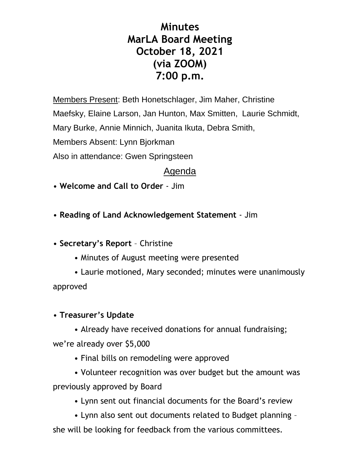# **Minutes MarLA Board Meeting October 18, 2021 (via ZOOM) 7:00 p.m.**

Members Present: Beth Honetschlager, Jim Maher, Christine Maefsky, Elaine Larson, Jan Hunton, Max Smitten, Laurie Schmidt, Mary Burke, Annie Minnich, Juanita Ikuta, Debra Smith, Members Absent: Lynn Bjorkman Also in attendance: Gwen Springsteen

# Agenda

• **Welcome and Call to Order** - Jim

• **Reading of Land Acknowledgement Statement** - Jim

• **Secretary's Report** – Christine

• Minutes of August meeting were presented

• Laurie motioned, Mary seconded; minutes were unanimously approved

#### • **Treasurer's Update**

• Already have received donations for annual fundraising; we're already over \$5,000

• Final bills on remodeling were approved

• Volunteer recognition was over budget but the amount was previously approved by Board

• Lynn sent out financial documents for the Board's review

• Lynn also sent out documents related to Budget planning – she will be looking for feedback from the various committees.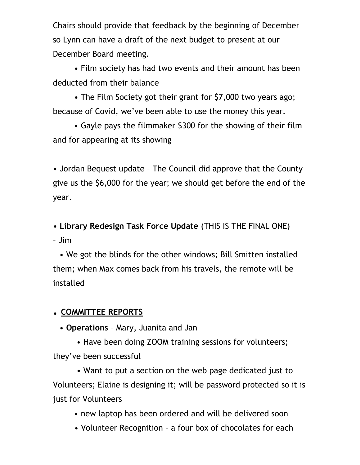Chairs should provide that feedback by the beginning of December so Lynn can have a draft of the next budget to present at our December Board meeting.

• Film society has had two events and their amount has been deducted from their balance

• The Film Society got their grant for \$7,000 two years ago; because of Covid, we've been able to use the money this year.

• Gayle pays the filmmaker \$300 for the showing of their film and for appearing at its showing

• Jordan Bequest update – The Council did approve that the County give us the \$6,000 for the year; we should get before the end of the year.

• **Library Redesign Task Force Update** (THIS IS THE FINAL ONE) – Jim

• We got the blinds for the other windows; Bill Smitten installed them; when Max comes back from his travels, the remote will be installed

## • **COMMITTEE REPORTS**

• **Operations** – Mary, Juanita and Jan

• Have been doing ZOOM training sessions for volunteers; they've been successful

• Want to put a section on the web page dedicated just to Volunteers; Elaine is designing it; will be password protected so it is just for Volunteers

• new laptop has been ordered and will be delivered soon

• Volunteer Recognition – a four box of chocolates for each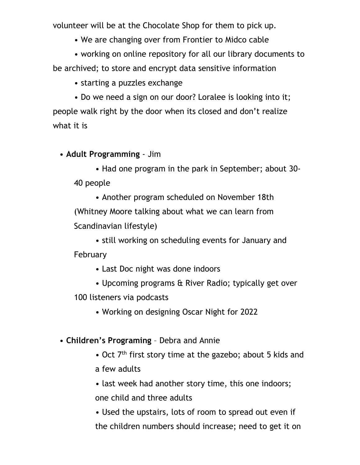volunteer will be at the Chocolate Shop for them to pick up.

• We are changing over from Frontier to Midco cable

• working on online repository for all our library documents to be archived; to store and encrypt data sensitive information

• starting a puzzles exchange

• Do we need a sign on our door? Loralee is looking into it; people walk right by the door when its closed and don't realize what it is

• **Adult Programming** - Jim

• Had one program in the park in September; about 30- 40 people

• Another program scheduled on November 18th (Whitney Moore talking about what we can learn from Scandinavian lifestyle)

• still working on scheduling events for January and February

- Last Doc night was done indoors
- Upcoming programs & River Radio; typically get over

100 listeners via podcasts

- Working on designing Oscar Night for 2022
- **Children's Programing** Debra and Annie
	- Oct 7<sup>th</sup> first story time at the gazebo; about 5 kids and
	- a few adults
	- last week had another story time, this one indoors;

one child and three adults

• Used the upstairs, lots of room to spread out even if the children numbers should increase; need to get it on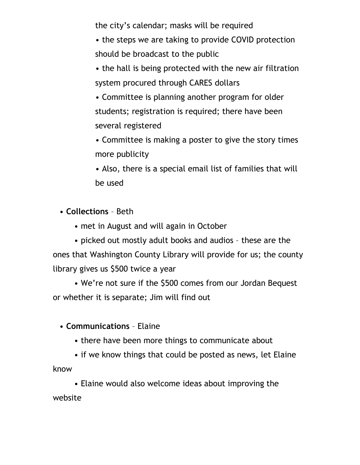the city's calendar; masks will be required

• the steps we are taking to provide COVID protection should be broadcast to the public

• the hall is being protected with the new air filtration system procured through CARES dollars

• Committee is planning another program for older students; registration is required; there have been several registered

• Committee is making a poster to give the story times more publicity

• Also, there is a special email list of families that will be used

• **Collections** – Beth

• met in August and will again in October

• picked out mostly adult books and audios – these are the ones that Washington County Library will provide for us; the county library gives us \$500 twice a year

• We're not sure if the \$500 comes from our Jordan Bequest or whether it is separate; Jim will find out

#### • **Communications** – Elaine

• there have been more things to communicate about

• if we know things that could be posted as news, let Elaine know

• Elaine would also welcome ideas about improving the website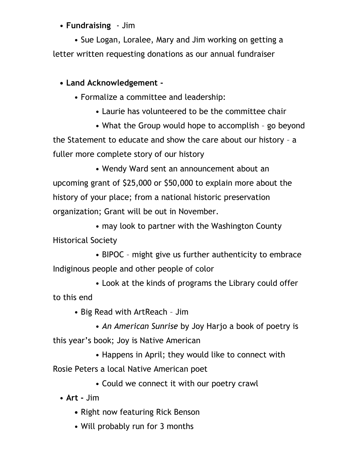## • **Fundraising** - Jim

• Sue Logan, Loralee, Mary and Jim working on getting a letter written requesting donations as our annual fundraiser

## **• Land Acknowledgement -**

- Formalize a committee and leadership:
	- Laurie has volunteered to be the committee chair

• What the Group would hope to accomplish – go beyond the Statement to educate and show the care about our history – a fuller more complete story of our history

• Wendy Ward sent an announcement about an upcoming grant of \$25,000 or \$50,000 to explain more about the history of your place; from a national historic preservation organization; Grant will be out in November.

• may look to partner with the Washington County Historical Society

• BIPOC – might give us further authenticity to embrace Indiginous people and other people of color

• Look at the kinds of programs the Library could offer to this end

• Big Read with ArtReach – Jim

• *An American Sunrise* by Joy Harjo a book of poetry is

this year's book; Joy is Native American

• Happens in April; they would like to connect with

Rosie Peters a local Native American poet

• Could we connect it with our poetry crawl

• **Art -** Jim

- Right now featuring Rick Benson
- Will probably run for 3 months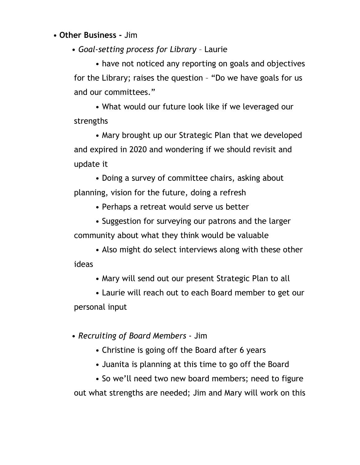• **Other Business -** Jim

• *Goal-setting process for Library* – Laurie

• have not noticed any reporting on goals and objectives for the Library; raises the question – "Do we have goals for us and our committees."

• What would our future look like if we leveraged our strengths

• Mary brought up our Strategic Plan that we developed and expired in 2020 and wondering if we should revisit and update it

• Doing a survey of committee chairs, asking about planning, vision for the future, doing a refresh

• Perhaps a retreat would serve us better

• Suggestion for surveying our patrons and the larger community about what they think would be valuable

• Also might do select interviews along with these other ideas

• Mary will send out our present Strategic Plan to all

• Laurie will reach out to each Board member to get our personal input

• *Recruiting of Board Members* - Jim

- Christine is going off the Board after 6 years
- Juanita is planning at this time to go off the Board

• So we'll need two new board members; need to figure out what strengths are needed; Jim and Mary will work on this